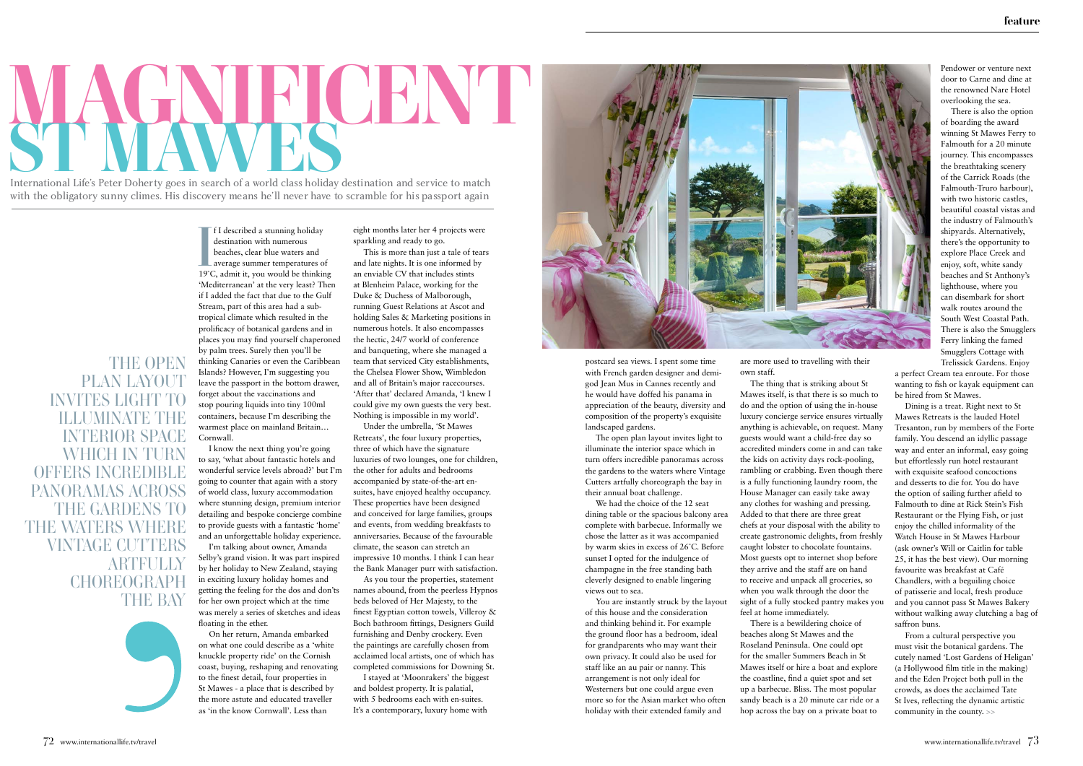## MAWES SECONDER TO DATE TO DET V SOGS in Search of a world class holiday destination and service to match

International Life's Peter Doherty goes in search of a world class holiday destination and service to match<br>with the obligatory away alimes. His discovery means ho'll never hove to servable for his necessar again. with the obligatory sunny climes. This discovery incaris he if never have to scramble for his passport again

**THE OPEN** PLAN LAYOUT **INVITES LIGHT** ILLUMINATE THE **INTERIOR SPACE** WHICH IN TURN offers incredible panoramas across THE GARDENS TO the waters where VINTAGE CUTTERS **ARTFULLY CHOREOGRAPH THE BAY** 

If I described a stunning holiday<br>destination with numerous<br>beaches, clear blue waters and<br>average summer temperatures of<br>19°C, admit it, you would be thinking f I described a stunning holiday destination with numerous beaches, clear blue waters and **L** average summer temperatures of 'Mediterranean' at the very least? Then if I added the fact that due to the Gulf Stream, part of this area had a subtropical climate which resulted in the prolificacy of botanical gardens and in places you may find yourself chaperoned by palm trees. Surely then you'll be thinking Canaries or even the Caribbean Islands? However, I'm suggesting you leave the passport in the bottom drawer, forget about the vaccinations and stop pouring liquids into tiny 100ml containers, because I'm describing the warmest place on mainland Britain… Cornwall.

I know the next thing you're going to say, 'what about fantastic hotels and wonderful service levels abroad?' but I'm going to counter that again with a story of world class, luxury accommodation where stunning design, premium interior detailing and bespoke concierge combine to provide guests with a fantastic 'home' and an unforgettable holiday experience.

I'm talking about owner, Amanda Selby's grand vision. It was part inspired by her holiday to New Zealand, staying in exciting luxury holiday homes and getting the feeling for the dos and don'ts for her own project which at the time was merely a series of sketches and ideas floating in the ether.

On her return, Amanda embarked on what one could describe as a 'white knuckle property ride' on the Cornish coast, buying, reshaping and renovating to the finest detail, four properties in St Mawes - a place that is described by the more astute and educated traveller as 'in the know Cornwall'. Less than

eight months later her 4 projects were sparkling and ready to go.

This is more than just a tale of tears and late nights. It is one informed by an enviable CV that includes stints at Blenheim Palace, working for the Duke & Duchess of Malborough, running Guest Relations at Ascot and holding Sales & Marketing positions in numerous hotels. It also encompasses the hectic, 24/7 world of conference and banqueting, where she managed a team that serviced City establishments, the Chelsea Flower Show, Wimbledon and all of Britain's major racecourses. 'After that' declared Amanda, 'I knew I could give my own guests the very best. Nothing is impossible in my world'.

Under the umbrella, 'St Mawes Retreats', the four luxury properties, three of which have the signature luxuries of two lounges, one for children, the other for adults and bedrooms accompanied by state-of-the-art ensuites, have enjoyed healthy occupancy. These properties have been designed and conceived for large families, groups and events, from wedding breakfasts to anniversaries. Because of the favourable climate, the season can stretch an impressive 10 months. I think I can hear the Bank Manager purr with satisfaction.

As you tour the properties, statement names abound, from the peerless Hypnos beds beloved of Her Majesty, to the finest Egyptian cotton towels, Villeroy & Boch bathroom fittings, Designers Guild furnishing and Denby crockery. Even the paintings are carefully chosen from acclaimed local artists, one of which has completed commissions for Downing St.

I stayed at 'Moonrakers' the biggest and boldest property. It is palatial, with 5 bedrooms each with en-suites. It's a contemporary, luxury home with



postcard sea views. I spent some time with French garden designer and demigod Jean Mus in Cannes recently and he would have doffed his panama in appreciation of the beauty, diversity and composition of the property's exquisite landscaped gardens.

The open plan layout invites light to illuminate the interior space which in turn offers incredible panoramas across the gardens to the waters where Vintage Cutters artfully choreograph the bay in their annual boat challenge.

We had the choice of the 12 seat dining table or the spacious balcony area complete with barbecue. Informally we chose the latter as it was accompanied by warm skies in excess of 26˚C. Before sunset I opted for the indulgence of champagne in the free standing bath cleverly designed to enable lingering views out to sea.

You are instantly struck by the layout of this house and the consideration and thinking behind it. For example the ground floor has a bedroom, ideal for grandparents who may want their own privacy. It could also be used for staff like an au pair or nanny. This arrangement is not only ideal for Westerners but one could argue even more so for the Asian market who often holiday with their extended family and

are more used to travelling with their own staff.

The thing that is striking about St Mawes itself, is that there is so much to do and the option of using the in-house luxury concierge service ensures virtually anything is achievable, on request. Many guests would want a child-free day so accredited minders come in and can take the kids on activity days rock-pooling, rambling or crabbing. Even though there is a fully functioning laundry room, the House Manager can easily take away any clothes for washing and pressing. Added to that there are three great chefs at your disposal with the ability to create gastronomic delights, from freshly caught lobster to chocolate fountains. Most guests opt to internet shop before they arrive and the staff are on hand to receive and unpack all groceries, so when you walk through the door the sight of a fully stocked pantry makes you feel at home immediately.

There is a bewildering choice of beaches along St Mawes and the Roseland Peninsula. One could opt for the smaller Summers Beach in St Mawes itself or hire a boat and explore the coastline, find a quiet spot and set up a barbecue. Bliss. The most popular sandy beach is a 20 minute car ride or a hop across the bay on a private boat to

Pendower or venture next door to Carne and dine at the renowned Nare Hotel overlooking the sea.

There is also the option of boarding the award winning St Mawes Ferry to Falmouth for a 20 minute journey. This encompasses the breathtaking scenery of the Carrick Roads (the Falmouth-Truro harbour), with two historic castles, beautiful coastal vistas and the industry of Falmouth's shipyards. Alternatively, there's the opportunity to explore Place Creek and enjoy, soft, white sandy beaches and St Anthony's lighthouse, where you can disembark for short walk routes around the South West Coastal Path. There is also the Smugglers Ferry linking the famed Smugglers Cottage with Trelissick Gardens. Enjoy

a perfect Cream tea enroute. For those wanting to fish or kayak equipment can be hired from St Mawes.

Dining is a treat. Right next to St Mawes Retreats is the lauded Hotel Tresanton, run by members of the Forte family. You descend an idyllic passage way and enter an informal, easy going but effortlessly run hotel restaurant with exquisite seafood concoctions and desserts to die for. You do have the option of sailing further afield to Falmouth to dine at Rick Stein's Fish Restaurant or the Flying Fish, or just enjoy the chilled informality of the Watch House in St Mawes Harbour (ask owner's Will or Caitlin for table 25, it has the best view). Our morning favourite was breakfast at Café Chandlers, with a beguiling choice of patisserie and local, fresh produce and you cannot pass St Mawes Bakery without walking away clutching a bag of saffron buns.

From a cultural perspective you must visit the botanical gardens. The cutely named 'Lost Gardens of Heligan' (a Hollywood film title in the making) and the Eden Project both pull in the crowds, as does the acclaimed Tate St Ives, reflecting the dynamic artistic community in the county. >>